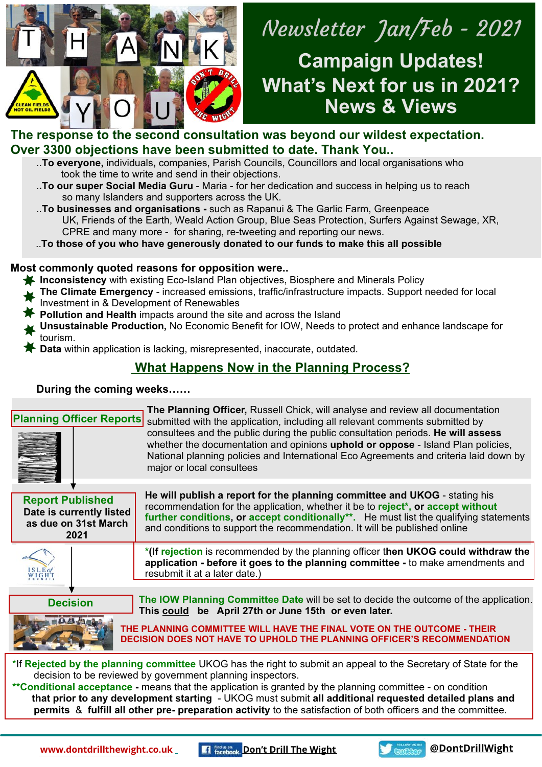

# ya nyaign op<br>hat's Next for i **News & Views Campaign Updates! What's Next for us in 2021?**

### **The response to the second consultation was beyond our wildest expectation. Over 3300 objections have been submitted to date. Thank You..**

- ..**To everyone,** individuals**,** companies, Parish Councils, Councillors and local organisations who took the time to write and send in their objections.
- .**.To our super Social Media Guru**  Maria for her dedication and success in helping us to reach so many Islanders and supporters across the UK.
- ..**To businesses and organisations** such as Rapanui & The Garlic Farm, Greenpeace UK, Friends of the Earth, Weald Action Group, Blue Seas Protection, Surfers Against Sewage, XR, CPRE and many more - for sharing, re-tweeting and reporting our news.
- ..**To those of you who have generously donated to our funds to make this all possible**

### **Most commonly quoted reasons for opposition were..**

- **Inconsistency** with existing Eco-Island Plan objectives, Biosphere and Minerals Policy
- **The Climate Emergency** increased emissions, traffic/infrastructure impacts. Support needed for local
- Investment in & Development of Renewables
- **Pollution and Health** impacts around the site and across the Island
- **Unsustainable Production,** No Economic Benefit for IOW, Needs to protect and enhance landscape for tourism.
- **Data** within application is lacking, misrepresented, inaccurate, outdated.

## **What Happens Now in the Planning Process?**

### **During the coming weeks……**

| <b>Planning Officer Reports</b>                                                                                                                                                                                                                                                                                                                                                                                                                                                                                      | The Planning Officer, Russell Chick, will analyse and review all documentation<br>submitted with the application, including all relevant comments submitted by<br>consultees and the public during the public consultation periods. He will assess<br>whether the documentation and opinions uphold or oppose - Island Plan policies,<br>National planning policies and International Eco Agreements and criteria laid down by<br>major or local consultees |  |
|----------------------------------------------------------------------------------------------------------------------------------------------------------------------------------------------------------------------------------------------------------------------------------------------------------------------------------------------------------------------------------------------------------------------------------------------------------------------------------------------------------------------|-------------------------------------------------------------------------------------------------------------------------------------------------------------------------------------------------------------------------------------------------------------------------------------------------------------------------------------------------------------------------------------------------------------------------------------------------------------|--|
| <b>Report Published</b><br>Date is currently listed<br>as due on 31st March<br>2021                                                                                                                                                                                                                                                                                                                                                                                                                                  | He will publish a report for the planning committee and UKOG - stating his<br>recommendation for the application, whether it be to reject*, or accept without<br>further conditions, or accept conditionally**. He must list the qualifying statements<br>and conditions to support the recommendation. It will be published online                                                                                                                         |  |
|                                                                                                                                                                                                                                                                                                                                                                                                                                                                                                                      | *(If rejection is recommended by the planning officer then UKOG could withdraw the<br>application - before it goes to the planning committee - to make amendments and<br>resubmit it at a later date.)                                                                                                                                                                                                                                                      |  |
| <b>Decision</b>                                                                                                                                                                                                                                                                                                                                                                                                                                                                                                      | The IOW Planning Committee Date will be set to decide the outcome of the application.<br>This could be April 27th or June 15th or even later.<br>THE PLANNING COMMITTEE WILL HAVE THE FINAL VOTE ON THE OUTCOME - THEIR<br>DECISION DOES NOT HAVE TO UPHOLD THE PLANNING OFFICER'S RECOMMENDATION                                                                                                                                                           |  |
| *If Rejected by the planning committee UKOG has the right to submit an appeal to the Secretary of State for the<br>decision to be reviewed by government planning inspectors.<br>**Conditional acceptance - means that the application is granted by the planning committee - on condition<br>that prior to any development starting - UKOG must submit all additional requested detailed plans and<br>permits & fulfill all other pre- preparation activity to the satisfaction of both officers and the committee. |                                                                                                                                                                                                                                                                                                                                                                                                                                                             |  |

**[www.dontdrillthewight.co.uk](http://dontdrillthewight.co.uk) <b>A Find us on [D](https://www.facebook.com/Dont-Drill-The-Wight-113888847029340)on't Drill The Wight Continent ContDrillWight**